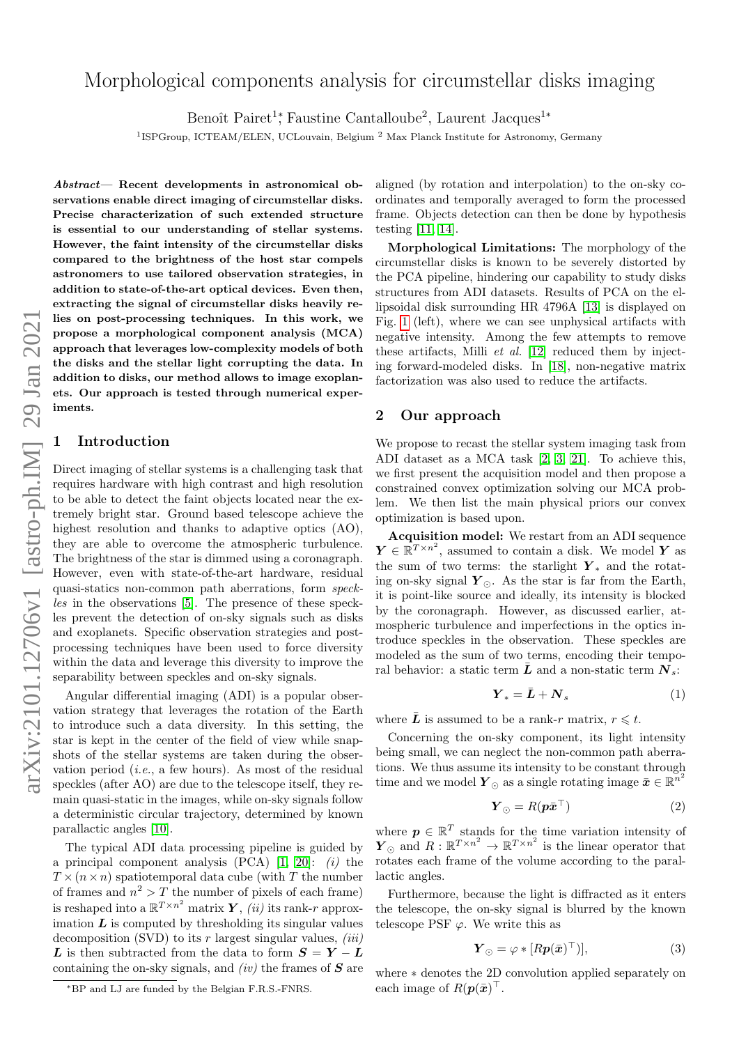# Morphological components analysis for circumstellar disks imaging

Benoît Pairet<sup>1</sup><sup>\*</sup>, Faustine Cantalloube<sup>2</sup>, Laurent Jacques<sup>1</sup><sup>\*</sup>

<sup>1</sup>ISPGroup, ICTEAM/ELEN, UCLouvain, Belgium<sup>2</sup> Max Planck Institute for Astronomy, Germany

Abstract— Recent developments in astronomical observations enable direct imaging of circumstellar disks. Precise characterization of such extended structure is essential to our understanding of stellar systems. However, the faint intensity of the circumstellar disks compared to the brightness of the host star compels astronomers to use tailored observation strategies, in addition to state-of-the-art optical devices. Even then, extracting the signal of circumstellar disks heavily relies on post-processing techniques. In this work, we propose a morphological component analysis (MCA) approach that leverages low-complexity models of both the disks and the stellar light corrupting the data. In addition to disks, our method allows to image exoplanets. Our approach is tested through numerical experiments.

### **Introduction**

Direct imaging of stellar systems is a challenging task that requires hardware with high contrast and high resolution to be able to detect the faint objects located near the extremely bright star. Ground based telescope achieve the highest resolution and thanks to adaptive optics  $(AO)$ , they are able to overcome the atmospheric turbulence. The brightness of the star is dimmed using a coronagraph. However, even with state-of-the-art hardware, residual quasi-statics non-common path aberrations, form speckles in the observations [\[5\]](#page-2-0). The presence of these speckles prevent the detection of on-sky signals such as disks and exoplanets. Specific observation strategies and postprocessing techniques have been used to force diversity within the data and leverage this diversity to improve the separability between speckles and on-sky signals.

Angular differential imaging (ADI) is a popular observation strategy that leverages the rotation of the Earth to introduce such a data diversity. In this setting, the star is kept in the center of the field of view while snapshots of the stellar systems are taken during the observation period (*i.e.*, a few hours). As most of the residual speckles (after AO) are due to the telescope itself, they remain quasi-static in the images, while on-sky signals follow a deterministic circular trajectory, determined by known parallactic angles [\[10\]](#page-2-1).

The typical ADI data processing pipeline is guided by a principal component analysis  $(PCA)$  [\[1,](#page-2-2) [20\]](#page-2-3): *(i)* the  $T \times(n \times n)$  spatiotemporal data cube (with T the number of frames and  $n^2 > T$  the number of pixels of each frame) is reshaped into a  $\mathbb{R}^{T \times n^2}$  matrix  $\boldsymbol{Y}$ , (*ii*) its rank-*r* approximation  $\boldsymbol{L}$  is computed by thresholding its singular values decomposition (SVD) to its  $r$  largest singular values,  $(iii)$ L is then subtracted from the data to form  $S = Y - L$ containing the on-sky signals, and  $(iv)$  the frames of  $S$  are

aligned (by rotation and interpolation) to the on-sky coordinates and temporally averaged to form the processed frame. Objects detection can then be done by hypothesis testing [\[11,](#page-2-4) [14\]](#page-2-5).

Morphological Limitations: The morphology of the circumstellar disks is known to be severely distorted by the PCA pipeline, hindering our capability to study disks structures from ADI datasets. Results of PCA on the ellipsoidal disk surrounding HR 4796A [\[13\]](#page-2-6) is displayed on Fig. [1](#page-1-0) (left), where we can see unphysical artifacts with negative intensity. Among the few attempts to remove these artifacts, Milli et al. [\[12\]](#page-2-7) reduced them by injecting forward-modeled disks. In [\[18\]](#page-2-8), non-negative matrix factorization was also used to reduce the artifacts.

#### 2 Our approach

We propose to recast the stellar system imaging task from ADI dataset as a MCA task [\[2,](#page-2-9) [3,](#page-2-10) [21\]](#page-2-11). To achieve this, we first present the acquisition model and then propose a constrained convex optimization solving our MCA problem. We then list the main physical priors our convex optimization is based upon.

Acquisition model: We restart from an ADI sequence  $\boldsymbol{Y} \in \mathbb{R}^{T \times n^2}$ , assumed to contain a disk. We model  $\boldsymbol{Y}$  as the sum of two terms: the starlight  $Y_*$  and the rotating on-sky signal  $Y_{\odot}$ . As the star is far from the Earth, it is point-like source and ideally, its intensity is blocked by the coronagraph. However, as discussed earlier, atmospheric turbulence and imperfections in the optics introduce speckles in the observation. These speckles are modeled as the sum of two terms, encoding their temporal behavior: a static term  $\bar{L}$  and a non-static term  $N_s$ :

$$
\boldsymbol{Y}_* = \bar{\boldsymbol{L}} + \boldsymbol{N}_s \tag{1}
$$

where  $\bar{L}$  is assumed to be a rank-r matrix,  $r \leq t$ .

Concerning the on-sky component, its light intensity being small, we can neglect the non-common path aberrations. We thus assume its intensity to be constant through time and we model  $\boldsymbol{Y}_{\odot}$  as a single rotating image  $\bar{\boldsymbol{x}} \in \mathbb{R}^n^2$ 

$$
\boldsymbol{Y}_{\odot} = R(\boldsymbol{p}\bar{\boldsymbol{x}}^{\top}) \tag{2}
$$

where  $p \in \mathbb{R}^T$  stands for the time variation intensity of  $\boldsymbol{Y}_{\odot}$  and  $R: \mathbb{R}^{T \times n^2} \to \mathbb{R}^{T \times n^2}$  is the linear operator that rotates each frame of the volume according to the parallactic angles.

Furthermore, because the light is diffracted as it enters the telescope, the on-sky signal is blurred by the known telescope PSF  $\varphi$ . We write this as

$$
\boldsymbol{Y}_{\odot} = \varphi * [R\boldsymbol{p}(\bar{\boldsymbol{x}})^{\top})],\tag{3}
$$

where ∗ denotes the 2D convolution applied separately on each image of  $R(p(\bar{x})^{\top}$ .

<sup>∗</sup>BP and LJ are funded by the Belgian F.R.S.-FNRS.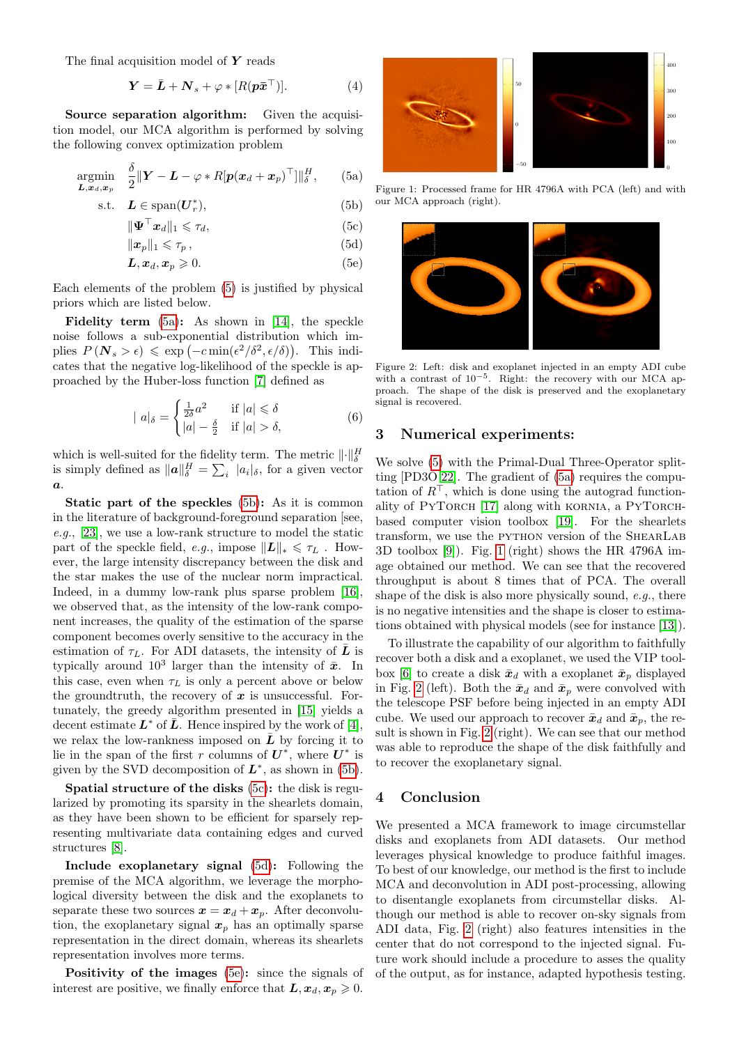The final acquisition model of  $Y$  reads

$$
\mathbf{Y} = \bar{\mathbf{L}} + \mathbf{N}_s + \varphi * [R(\mathbf{p}\bar{\mathbf{x}}^\top)]. \tag{4}
$$

Source separation algorithm: Given the acquisition model, our MCA algorithm is performed by solving the following convex optimization problem

$$
\underset{\mathbf{L}, \mathbf{x}_d, \mathbf{x}_p}{\text{argmin}} \quad \frac{\delta}{2} \|\mathbf{Y} - \mathbf{L} - \varphi \ast R[\mathbf{p}(\mathbf{x}_d + \mathbf{x}_p)^\top] \|_{\delta}^H, \qquad (5a)
$$

$$
s.t. \quad \mathbf{L} \in \text{span}(\mathbf{U}_r^*),\tag{5b}
$$

$$
\|\mathbf{\Psi}^{\top}\mathbf{x}_{d}\|_{1} \leqslant \tau_{d},\tag{5c}
$$

$$
\|\boldsymbol{x}_p\|_1 \leqslant \tau_p\,,\tag{5d}
$$

$$
L, x_d, x_p \geqslant 0. \tag{5e}
$$

Each elements of the problem [\(5\)](#page-1-1) is justified by physical priors which are listed below.

Fidelity term [\(5a\)](#page-1-2): As shown in [\[14\]](#page-2-5), the speckle noise follows a sub-exponential distribution which implies  $P(N_s > \epsilon) \leq \exp(-c \min(\epsilon^2/\delta^2, \epsilon/\delta)).$  This indicates that the negative log-likelihood of the speckle is approached by the Huber-loss function [\[7\]](#page-2-12) defined as

$$
|a|_{\delta} = \begin{cases} \frac{1}{2\delta}a^2 & \text{if } |a| \le \delta\\ |a| - \frac{\delta}{2} & \text{if } |a| > \delta, \end{cases}
$$
(6)

which is well-suited for the fidelity term. The metric  $\|\cdot\|_{\delta}^H$ is simply defined as  $||a||_{\delta}^{H} = \sum_{i} |a_{i}|_{\delta}$ , for a given vector  $\boldsymbol{a}$ .

Static part of the speckles [\(5b\)](#page-1-3): As it is common in the literature of background-foreground separation [see, e.g., [23\]](#page-2-13), we use a low-rank structure to model the static part of the speckle field, e.g., impose  $||L||_* \leq \tau_L$ . However, the large intensity discrepancy between the disk and the star makes the use of the nuclear norm impractical. Indeed, in a dummy low-rank plus sparse problem [\[16\]](#page-2-14), we observed that, as the intensity of the low-rank component increases, the quality of the estimation of the sparse component becomes overly sensitive to the accuracy in the estimation of  $\tau_L$ . For ADI datasets, the intensity of  $\bar{L}$  is typically around  $10^3$  larger than the intensity of  $\bar{x}$ . In this case, even when  $\tau_L$  is only a percent above or below the groundtruth, the recovery of  $x$  is unsuccessful. Fortunately, the greedy algorithm presented in [\[15\]](#page-2-15) yields a decent estimate  $\boldsymbol{L}^*$  of  $\bar{\boldsymbol{L}}$ . Hence inspired by the work of [\[4\]](#page-2-16), we relax the low-rankness imposed on  $\bar{L}$  by forcing it to lie in the span of the first r columns of  $U^*$ , where  $U^*$  is given by the SVD decomposition of  $L^*$ , as shown in [\(5b\)](#page-1-3).

Spatial structure of the disks [\(5c\)](#page-1-4): the disk is regularized by promoting its sparsity in the shearlets domain, as they have been shown to be efficient for sparsely representing multivariate data containing edges and curved structures [\[8\]](#page-2-17).

Include exoplanetary signal [\(5d\)](#page-1-5): Following the premise of the MCA algorithm, we leverage the morphological diversity between the disk and the exoplanets to separate these two sources  $x = x_d + x_p$ . After deconvolution, the exoplanetary signal  $x_p$  has an optimally sparse representation in the direct domain, whereas its shearlets representation involves more terms.

Positivity of the images [\(5e\)](#page-1-6): since the signals of interest are positive, we finally enforce that  $\mathbf{L}, \mathbf{x}_d, \mathbf{x}_p \geq 0$ .

<span id="page-1-0"></span>

Figure 1: Processed frame for HR 4796A with PCA (left) and with our MCA approach (right).

<span id="page-1-7"></span><span id="page-1-6"></span><span id="page-1-5"></span><span id="page-1-4"></span><span id="page-1-3"></span><span id="page-1-2"></span><span id="page-1-1"></span>

Figure 2: Left: disk and exoplanet injected in an empty ADI cube with a contrast of 10<sup>-5</sup>. Right: the recovery with our MCA approach. The shape of the disk is preserved and the exoplanetary signal is recovered.

#### 3 Numerical experiments:

We solve [\(5\)](#page-1-1) with the Primal-Dual Three-Operator splitting [PD3O [22\]](#page-2-18). The gradient of [\(5a\)](#page-1-2) requires the computation of  $R^{\perp}$ , which is done using the autograd function-ality of PYTORCH [\[17\]](#page-2-19) along with KORNIA, a PYTORCHbased computer vision toolbox [\[19\]](#page-2-20). For the shearlets transform, we use the PYTHON version of the SHEARLAB 3D toolbox [\[9\]](#page-2-21)). Fig. [1](#page-1-0) (right) shows the HR 4796A image obtained our method. We can see that the recovered throughput is about 8 times that of PCA. The overall shape of the disk is also more physically sound, e.g., there is no negative intensities and the shape is closer to estimations obtained with physical models (see for instance [\[13\]](#page-2-6)).

To illustrate the capability of our algorithm to faithfully recover both a disk and a exoplanet, we used the VIP tool-box [\[6\]](#page-2-22) to create a disk  $\bar{x}_d$  with a exoplanet  $\bar{x}_p$  displayed in Fig. [2](#page-1-7) (left). Both the  $\bar{x}_d$  and  $\bar{x}_p$  were convolved with the telescope PSF before being injected in an empty ADI cube. We used our approach to recover  $\bar{x}_d$  and  $\bar{x}_p$ , the result is shown in Fig. [2](#page-1-7) (right). We can see that our method was able to reproduce the shape of the disk faithfully and to recover the exoplanetary signal.

#### 4 Conclusion

We presented a MCA framework to image circumstellar disks and exoplanets from ADI datasets. Our method leverages physical knowledge to produce faithful images. To best of our knowledge, our method is the first to include MCA and deconvolution in ADI post-processing, allowing to disentangle exoplanets from circumstellar disks. Although our method is able to recover on-sky signals from ADI data, Fig. [2](#page-1-7) (right) also features intensities in the center that do not correspond to the injected signal. Future work should include a procedure to asses the quality of the output, as for instance, adapted hypothesis testing.